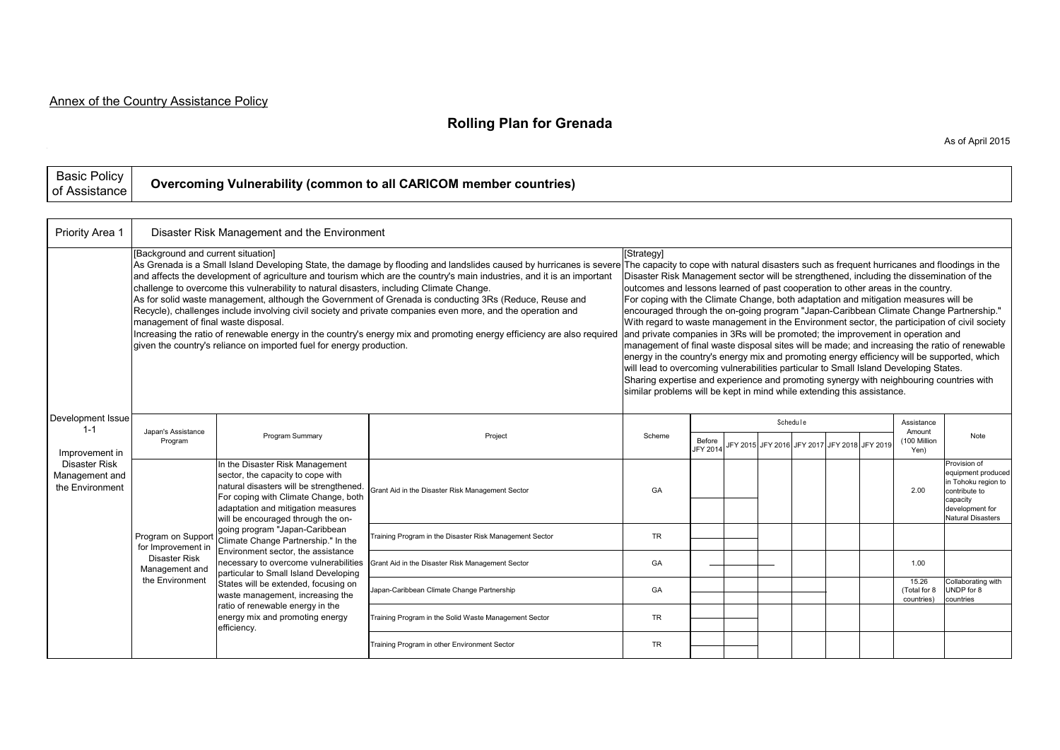## **Rolling Plan for Grenada**

| Priority Area 1                                                                                      |                                                                                                                                                                                                                                                                                                                                                                                                                                                                                                                                                                                                                                                                                                                                                                                                                                                                                                                                                | Disaster Risk Management and the Environment                                                                                                                                                                                                                                                                                                                                                                                                                                                                                                                                                           |                                                         |           |                                                                                                                                                                                                                                                                                                                                                                                                                                                                                                                                                                                                                                                                                                                                                                                                                                                                                                                                                                                                                            |  |  |          |  |                                              |                                             |                                                                                                                                |  |  |
|------------------------------------------------------------------------------------------------------|------------------------------------------------------------------------------------------------------------------------------------------------------------------------------------------------------------------------------------------------------------------------------------------------------------------------------------------------------------------------------------------------------------------------------------------------------------------------------------------------------------------------------------------------------------------------------------------------------------------------------------------------------------------------------------------------------------------------------------------------------------------------------------------------------------------------------------------------------------------------------------------------------------------------------------------------|--------------------------------------------------------------------------------------------------------------------------------------------------------------------------------------------------------------------------------------------------------------------------------------------------------------------------------------------------------------------------------------------------------------------------------------------------------------------------------------------------------------------------------------------------------------------------------------------------------|---------------------------------------------------------|-----------|----------------------------------------------------------------------------------------------------------------------------------------------------------------------------------------------------------------------------------------------------------------------------------------------------------------------------------------------------------------------------------------------------------------------------------------------------------------------------------------------------------------------------------------------------------------------------------------------------------------------------------------------------------------------------------------------------------------------------------------------------------------------------------------------------------------------------------------------------------------------------------------------------------------------------------------------------------------------------------------------------------------------------|--|--|----------|--|----------------------------------------------|---------------------------------------------|--------------------------------------------------------------------------------------------------------------------------------|--|--|
| Development Issue<br>$1 - 1$<br>Improvement in<br>Disaster Risk<br>Management and<br>the Environment | [Background and current situation]<br>As Grenada is a Small Island Developing State, the damage by flooding and landslides caused by hurricanes is severe The capacity to cope with natural disasters such as frequent hurricanes and floodings in the<br>and affects the development of agriculture and tourism which are the country's main industries, and it is an important<br>challenge to overcome this vulnerability to natural disasters, including Climate Change.<br>As for solid waste management, although the Government of Grenada is conducting 3Rs (Reduce, Reuse and<br>Recycle), challenges include involving civil society and private companies even more, and the operation and<br>management of final waste disposal.<br>Increasing the ratio of renewable energy in the country's energy mix and promoting energy efficiency are also required<br>given the country's reliance on imported fuel for energy production. |                                                                                                                                                                                                                                                                                                                                                                                                                                                                                                                                                                                                        |                                                         |           | [Strategy]<br>Disaster Risk Management sector will be strengthened, including the dissemination of the<br>outcomes and lessons learned of past cooperation to other areas in the country.<br>For coping with the Climate Change, both adaptation and mitigation measures will be<br>encouraged through the on-going program "Japan-Caribbean Climate Change Partnership."<br>With regard to waste management in the Environment sector, the participation of civil society<br>and private companies in 3Rs will be promoted; the improvement in operation and<br>management of final waste disposal sites will be made; and increasing the ratio of renewable<br>energy in the country's energy mix and promoting energy efficiency will be supported, which<br>will lead to overcoming vulnerabilities particular to Small Island Developing States.<br>Sharing expertise and experience and promoting synergy with neighbouring countries with<br>similar problems will be kept in mind while extending this assistance. |  |  |          |  |                                              |                                             |                                                                                                                                |  |  |
|                                                                                                      | Japan's Assistance<br>Program                                                                                                                                                                                                                                                                                                                                                                                                                                                                                                                                                                                                                                                                                                                                                                                                                                                                                                                  | Program Summary                                                                                                                                                                                                                                                                                                                                                                                                                                                                                                                                                                                        | Project                                                 | Scheme    | Before<br>JFY 2014                                                                                                                                                                                                                                                                                                                                                                                                                                                                                                                                                                                                                                                                                                                                                                                                                                                                                                                                                                                                         |  |  | Schedule |  | JFY 2015 JFY 2016 JFY 2017 JFY 2018 JFY 2019 | Assistance<br>Amount<br>100 Million<br>Yen) | Note                                                                                                                           |  |  |
|                                                                                                      | Program on Support<br>for Improvement in<br>Disaster Risk<br>Management and<br>the Environment                                                                                                                                                                                                                                                                                                                                                                                                                                                                                                                                                                                                                                                                                                                                                                                                                                                 | In the Disaster Risk Management<br>sector, the capacity to cope with<br>natural disasters will be strengthened.<br>For coping with Climate Change, both<br>adaptation and mitigation measures<br>will be encouraged through the on-<br>going program "Japan-Caribbean<br>Climate Change Partnership." In the<br>Environment sector, the assistance<br>necessary to overcome vulnerabilities<br>particular to Small Island Developing<br>States will be extended, focusing on<br>waste management, increasing the<br>ratio of renewable energy in the<br>energy mix and promoting energy<br>efficiency. | Grant Aid in the Disaster Risk Management Sector        | GA        |                                                                                                                                                                                                                                                                                                                                                                                                                                                                                                                                                                                                                                                                                                                                                                                                                                                                                                                                                                                                                            |  |  |          |  |                                              | 2.00                                        | Provision of<br>equipment produced<br>in Tohoku region to<br>contribute to<br>capacity<br>development for<br>Natural Disasters |  |  |
|                                                                                                      |                                                                                                                                                                                                                                                                                                                                                                                                                                                                                                                                                                                                                                                                                                                                                                                                                                                                                                                                                |                                                                                                                                                                                                                                                                                                                                                                                                                                                                                                                                                                                                        | Training Program in the Disaster Risk Management Sector | <b>TR</b> |                                                                                                                                                                                                                                                                                                                                                                                                                                                                                                                                                                                                                                                                                                                                                                                                                                                                                                                                                                                                                            |  |  |          |  |                                              |                                             |                                                                                                                                |  |  |
|                                                                                                      |                                                                                                                                                                                                                                                                                                                                                                                                                                                                                                                                                                                                                                                                                                                                                                                                                                                                                                                                                |                                                                                                                                                                                                                                                                                                                                                                                                                                                                                                                                                                                                        | Grant Aid in the Disaster Risk Management Sector        | GA        |                                                                                                                                                                                                                                                                                                                                                                                                                                                                                                                                                                                                                                                                                                                                                                                                                                                                                                                                                                                                                            |  |  |          |  |                                              | 1.00                                        |                                                                                                                                |  |  |
|                                                                                                      |                                                                                                                                                                                                                                                                                                                                                                                                                                                                                                                                                                                                                                                                                                                                                                                                                                                                                                                                                |                                                                                                                                                                                                                                                                                                                                                                                                                                                                                                                                                                                                        | Japan-Caribbean Climate Change Partnership              | GA        |                                                                                                                                                                                                                                                                                                                                                                                                                                                                                                                                                                                                                                                                                                                                                                                                                                                                                                                                                                                                                            |  |  |          |  |                                              | 15.26<br>(Total for 8<br>countries)         | Collaborating with<br>UNDP for 8<br>countries                                                                                  |  |  |
|                                                                                                      |                                                                                                                                                                                                                                                                                                                                                                                                                                                                                                                                                                                                                                                                                                                                                                                                                                                                                                                                                |                                                                                                                                                                                                                                                                                                                                                                                                                                                                                                                                                                                                        | Training Program in the Solid Waste Management Sector   | <b>TR</b> |                                                                                                                                                                                                                                                                                                                                                                                                                                                                                                                                                                                                                                                                                                                                                                                                                                                                                                                                                                                                                            |  |  |          |  |                                              |                                             |                                                                                                                                |  |  |
|                                                                                                      |                                                                                                                                                                                                                                                                                                                                                                                                                                                                                                                                                                                                                                                                                                                                                                                                                                                                                                                                                |                                                                                                                                                                                                                                                                                                                                                                                                                                                                                                                                                                                                        | Training Program in other Environment Sector            | TR        |                                                                                                                                                                                                                                                                                                                                                                                                                                                                                                                                                                                                                                                                                                                                                                                                                                                                                                                                                                                                                            |  |  |          |  |                                              |                                             |                                                                                                                                |  |  |